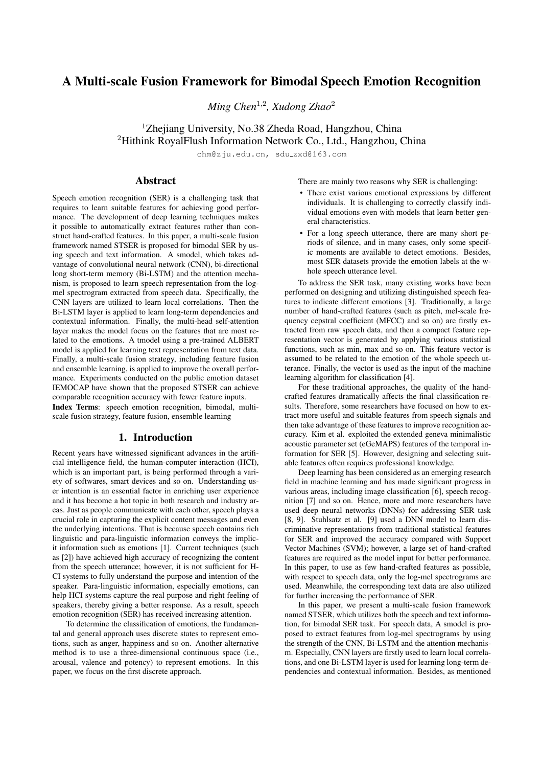# A Multi-scale Fusion Framework for Bimodal Speech Emotion Recognition

*Ming Chen*<sup>1</sup>,<sup>2</sup> *, Xudong Zhao*<sup>2</sup>

<sup>1</sup>Zhejiang University, No.38 Zheda Road, Hangzhou, China

<sup>2</sup>Hithink RoyalFlush Information Network Co., Ltd., Hangzhou, China

chm@zju.edu.cn, sdu\_zxd@163.com

## Abstract

Speech emotion recognition (SER) is a challenging task that requires to learn suitable features for achieving good performance. The development of deep learning techniques makes it possible to automatically extract features rather than construct hand-crafted features. In this paper, a multi-scale fusion framework named STSER is proposed for bimodal SER by using speech and text information. A smodel, which takes advantage of convolutional neural network (CNN), bi-directional long short-term memory (Bi-LSTM) and the attention mechanism, is proposed to learn speech representation from the logmel spectrogram extracted from speech data. Specifically, the CNN layers are utilized to learn local correlations. Then the Bi-LSTM layer is applied to learn long-term dependencies and contextual information. Finally, the multi-head self-attention layer makes the model focus on the features that are most related to the emotions. A tmodel using a pre-trained ALBERT model is applied for learning text representation from text data. Finally, a multi-scale fusion strategy, including feature fusion and ensemble learning, is applied to improve the overall performance. Experiments conducted on the public emotion dataset IEMOCAP have shown that the proposed STSER can achieve comparable recognition accuracy with fewer feature inputs. Index Terms: speech emotion recognition, bimodal, multiscale fusion strategy, feature fusion, ensemble learning

# 1. Introduction

Recent years have witnessed significant advances in the artificial intelligence field, the human-computer interaction (HCI), which is an important part, is being performed through a variety of softwares, smart devices and so on. Understanding user intention is an essential factor in enriching user experience and it has become a hot topic in both research and industry areas. Just as people communicate with each other, speech plays a crucial role in capturing the explicit content messages and even the underlying intentions. That is because speech contains rich linguistic and para-linguistic information conveys the implicit information such as emotions [1]. Current techniques (such as [2]) have achieved high accuracy of recognizing the content from the speech utterance; however, it is not sufficient for H-CI systems to fully understand the purpose and intention of the speaker. Para-linguistic information, especially emotions, can help HCI systems capture the real purpose and right feeling of speakers, thereby giving a better response. As a result, speech emotion recognition (SER) has received increasing attention.

To determine the classification of emotions, the fundamental and general approach uses discrete states to represent emotions, such as anger, happiness and so on. Another alternative method is to use a three-dimensional continuous space (i.e., arousal, valence and potency) to represent emotions. In this paper, we focus on the first discrete approach.

There are mainly two reasons why SER is challenging:

- There exist various emotional expressions by different individuals. It is challenging to correctly classify individual emotions even with models that learn better general characteristics.
- For a long speech utterance, there are many short periods of silence, and in many cases, only some specific moments are available to detect emotions. Besides, most SER datasets provide the emotion labels at the whole speech utterance level.

To address the SER task, many existing works have been performed on designing and utilizing distinguished speech features to indicate different emotions [3]. Traditionally, a large number of hand-crafted features (such as pitch, mel-scale frequency cepstral coefficient (MFCC) and so on) are firstly extracted from raw speech data, and then a compact feature representation vector is generated by applying various statistical functions, such as min, max and so on. This feature vector is assumed to be related to the emotion of the whole speech utterance. Finally, the vector is used as the input of the machine learning algorithm for classification [4].

For these traditional approaches, the quality of the handcrafted features dramatically affects the final classification results. Therefore, some researchers have focused on how to extract more useful and suitable features from speech signals and then take advantage of these features to improve recognition accuracy. Kim et al. exploited the extended geneva minimalistic acoustic parameter set (eGeMAPS) features of the temporal information for SER [5]. However, designing and selecting suitable features often requires professional knowledge.

Deep learning has been considered as an emerging research field in machine learning and has made significant progress in various areas, including image classification [6], speech recognition [7] and so on. Hence, more and more researchers have used deep neural networks (DNNs) for addressing SER task [8, 9]. Stuhlsatz et al. [9] used a DNN model to learn discriminative representations from traditional statistical features for SER and improved the accuracy compared with Support Vector Machines (SVM); however, a large set of hand-crafted features are required as the model input for better performance. In this paper, to use as few hand-crafted features as possible, with respect to speech data, only the log-mel spectrograms are used. Meanwhile, the corresponding text data are also utilized for further increasing the performance of SER.

In this paper, we present a multi-scale fusion framework named STSER, which utilizes both the speech and text information, for bimodal SER task. For speech data, A smodel is proposed to extract features from log-mel spectrograms by using the strength of the CNN, Bi-LSTM and the attention mechanism. Especially, CNN layers are firstly used to learn local correlations, and one Bi-LSTM layer is used for learning long-term dependencies and contextual information. Besides, as mentioned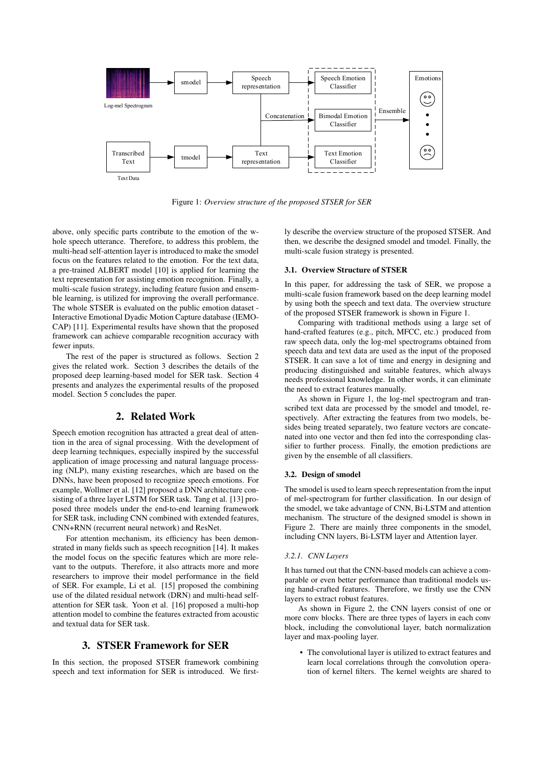

Figure 1: *Overview structure of the proposed STSER for SER*

above, only specific parts contribute to the emotion of the whole speech utterance. Therefore, to address this problem, the multi-head self-attention layer is introduced to make the smodel focus on the features related to the emotion. For the text data, a pre-trained ALBERT model [10] is applied for learning the text representation for assisting emotion recognition. Finally, a multi-scale fusion strategy, including feature fusion and ensemble learning, is utilized for improving the overall performance. The whole STSER is evaluated on the public emotion dataset - Interactive Emotional Dyadic Motion Capture database (IEMO-CAP) [11]. Experimental results have shown that the proposed framework can achieve comparable recognition accuracy with fewer inputs.

The rest of the paper is structured as follows. Section 2 gives the related work. Section 3 describes the details of the proposed deep learning-based model for SER task. Section 4 presents and analyzes the experimental results of the proposed model. Section 5 concludes the paper.

# 2. Related Work

Speech emotion recognition has attracted a great deal of attention in the area of signal processing. With the development of deep learning techniques, especially inspired by the successful application of image processing and natural language processing (NLP), many existing researches, which are based on the DNNs, have been proposed to recognize speech emotions. For example, Wollmer et al. [12] proposed a DNN architecture consisting of a three layer LSTM for SER task. Tang et al. [13] proposed three models under the end-to-end learning framework for SER task, including CNN combined with extended features, CNN+RNN (recurrent neural network) and ResNet.

For attention mechanism, its efficiency has been demonstrated in many fields such as speech recognition [14]. It makes the model focus on the specific features which are more relevant to the outputs. Therefore, it also attracts more and more researchers to improve their model performance in the field of SER. For example, Li et al. [15] proposed the combining use of the dilated residual network (DRN) and multi-head selfattention for SER task. Yoon et al. [16] proposed a multi-hop attention model to combine the features extracted from acoustic and textual data for SER task.

### 3. STSER Framework for SER

In this section, the proposed STSER framework combining speech and text information for SER is introduced. We firstly describe the overview structure of the proposed STSER. And then, we describe the designed smodel and tmodel. Finally, the multi-scale fusion strategy is presented.

### 3.1. Overview Structure of STSER

In this paper, for addressing the task of SER, we propose a multi-scale fusion framework based on the deep learning model by using both the speech and text data. The overview structure of the proposed STSER framework is shown in Figure 1.

Comparing with traditional methods using a large set of hand-crafted features (e.g., pitch, MFCC, etc.) produced from raw speech data, only the log-mel spectrograms obtained from speech data and text data are used as the input of the proposed STSER. It can save a lot of time and energy in designing and producing distinguished and suitable features, which always needs professional knowledge. In other words, it can eliminate the need to extract features manually.

As shown in Figure 1, the log-mel spectrogram and transcribed text data are processed by the smodel and tmodel, respectively. After extracting the features from two models, besides being treated separately, two feature vectors are concatenated into one vector and then fed into the corresponding classifier to further process. Finally, the emotion predictions are given by the ensemble of all classifiers.

#### 3.2. Design of smodel

The smodel is used to learn speech representation from the input of mel-spectrogram for further classification. In our design of the smodel, we take advantage of CNN, Bi-LSTM and attention mechanism. The structure of the designed smodel is shown in Figure 2. There are mainly three components in the smodel, including CNN layers, Bi-LSTM layer and Attention layer.

### *3.2.1. CNN Layers*

It has turned out that the CNN-based models can achieve a comparable or even better performance than traditional models using hand-crafted features. Therefore, we firstly use the CNN layers to extract robust features.

As shown in Figure 2, the CNN layers consist of one or more conv blocks. There are three types of layers in each conv block, including the convolutional layer, batch normalization layer and max-pooling layer.

• The convolutional layer is utilized to extract features and learn local correlations through the convolution operation of kernel filters. The kernel weights are shared to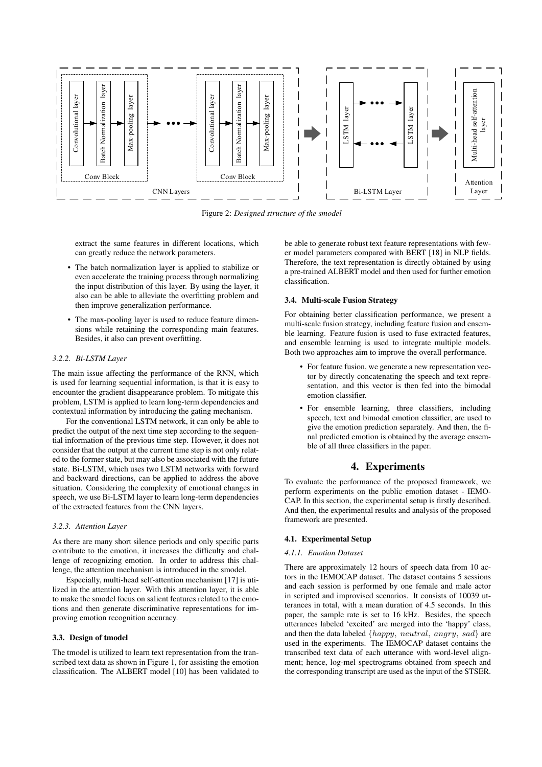

Figure 2: *Designed structure of the smodel*

extract the same features in different locations, which can greatly reduce the network parameters.

- The batch normalization layer is applied to stabilize or even accelerate the training process through normalizing the input distribution of this layer. By using the layer, it also can be able to alleviate the overfitting problem and then improve generalization performance.
- The max-pooling layer is used to reduce feature dimensions while retaining the corresponding main features. Besides, it also can prevent overfitting.

### *3.2.2. Bi-LSTM Layer*

The main issue affecting the performance of the RNN, which is used for learning sequential information, is that it is easy to encounter the gradient disappearance problem. To mitigate this problem, LSTM is applied to learn long-term dependencies and contextual information by introducing the gating mechanism.

For the conventional LSTM network, it can only be able to predict the output of the next time step according to the sequential information of the previous time step. However, it does not consider that the output at the current time step is not only related to the former state, but may also be associated with the future state. Bi-LSTM, which uses two LSTM networks with forward and backward directions, can be applied to address the above situation. Considering the complexity of emotional changes in speech, we use Bi-LSTM layer to learn long-term dependencies of the extracted features from the CNN layers.

#### *3.2.3. Attention Layer*

As there are many short silence periods and only specific parts contribute to the emotion, it increases the difficulty and challenge of recognizing emotion. In order to address this challenge, the attention mechanism is introduced in the smodel.

Especially, multi-head self-attention mechanism [17] is utilized in the attention layer. With this attention layer, it is able to make the smodel focus on salient features related to the emotions and then generate discriminative representations for improving emotion recognition accuracy.

### 3.3. Design of tmodel

The tmodel is utilized to learn text representation from the transcribed text data as shown in Figure 1, for assisting the emotion classification. The ALBERT model [10] has been validated to be able to generate robust text feature representations with fewer model parameters compared with BERT [18] in NLP fields. Therefore, the text representation is directly obtained by using a pre-trained ALBERT model and then used for further emotion classification.

### 3.4. Multi-scale Fusion Strategy

For obtaining better classification performance, we present a multi-scale fusion strategy, including feature fusion and ensemble learning. Feature fusion is used to fuse extracted features, and ensemble learning is used to integrate multiple models. Both two approaches aim to improve the overall performance.

- For feature fusion, we generate a new representation vector by directly concatenating the speech and text representation, and this vector is then fed into the bimodal emotion classifier.
- For ensemble learning, three classifiers, including speech, text and bimodal emotion classifier, are used to give the emotion prediction separately. And then, the final predicted emotion is obtained by the average ensemble of all three classifiers in the paper.

### 4. Experiments

To evaluate the performance of the proposed framework, we perform experiments on the public emotion dataset - IEMO-CAP. In this section, the experimental setup is firstly described. And then, the experimental results and analysis of the proposed framework are presented.

#### 4.1. Experimental Setup

### *4.1.1. Emotion Dataset*

There are approximately 12 hours of speech data from 10 actors in the IEMOCAP dataset. The dataset contains 5 sessions and each session is performed by one female and male actor in scripted and improvised scenarios. It consists of 10039 utterances in total, with a mean duration of 4.5 seconds. In this paper, the sample rate is set to 16 kHz. Besides, the speech utterances labeled 'excited' are merged into the 'happy' class, and then the data labeled  $\{happy, neutral, any *q*, sad\}$  are used in the experiments. The IEMOCAP dataset contains the transcribed text data of each utterance with word-level alignment; hence, log-mel spectrograms obtained from speech and the corresponding transcript are used as the input of the STSER.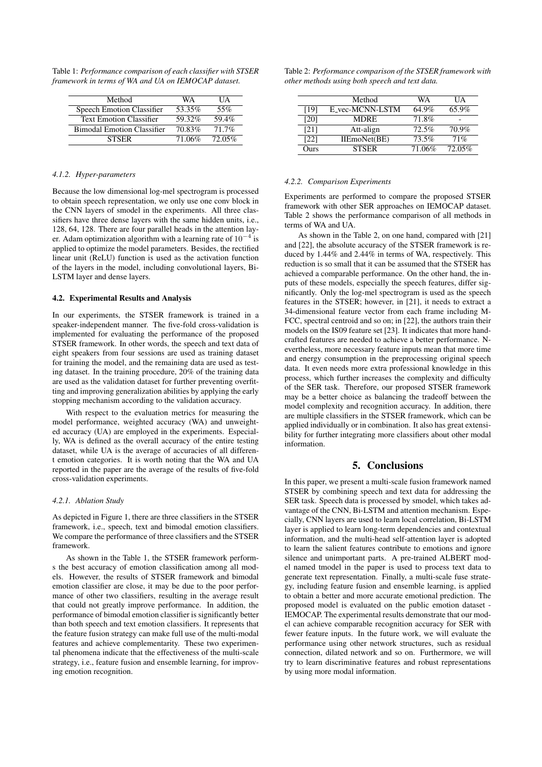Table 1: *Performance comparison of each classifier with STSER framework in terms of WA and UA on IEMOCAP dataset.*

| Method                            | WA     | UА       |
|-----------------------------------|--------|----------|
| Speech Emotion Classifier         | 53.35% | 55%      |
| <b>Text Emotion Classifier</b>    | 59.32% | 59.4%    |
| <b>Bimodal Emotion Classifier</b> | 70.83% | $71.7\%$ |
| <b>STSER</b>                      | 71.06% | 72.05%   |

### *4.1.2. Hyper-parameters*

Because the low dimensional log-mel spectrogram is processed to obtain speech representation, we only use one conv block in the CNN layers of smodel in the experiments. All three classifiers have three dense layers with the same hidden units, i.e., 128, 64, 128. There are four parallel heads in the attention layer. Adam optimization algorithm with a learning rate of  $10^{-4}$  is applied to optimize the model parameters. Besides, the rectified linear unit (ReLU) function is used as the activation function of the layers in the model, including convolutional layers, Bi-LSTM layer and dense layers.

### 4.2. Experimental Results and Analysis

In our experiments, the STSER framework is trained in a speaker-independent manner. The five-fold cross-validation is implemented for evaluating the performance of the proposed STSER framework. In other words, the speech and text data of eight speakers from four sessions are used as training dataset for training the model, and the remaining data are used as testing dataset. In the training procedure, 20% of the training data are used as the validation dataset for further preventing overfitting and improving generalization abilities by applying the early stopping mechanism according to the validation accuracy.

With respect to the evaluation metrics for measuring the model performance, weighted accuracy (WA) and unweighted accuracy (UA) are employed in the experiments. Especially, WA is defined as the overall accuracy of the entire testing dataset, while UA is the average of accuracies of all different emotion categories. It is worth noting that the WA and UA reported in the paper are the average of the results of five-fold cross-validation experiments.

#### *4.2.1. Ablation Study*

As depicted in Figure 1, there are three classifiers in the STSER framework, i.e., speech, text and bimodal emotion classifiers. We compare the performance of three classifiers and the STSER framework.

As shown in the Table 1, the STSER framework performs the best accuracy of emotion classification among all models. However, the results of STSER framework and bimodal emotion classifier are close, it may be due to the poor performance of other two classifiers, resulting in the average result that could not greatly improve performance. In addition, the performance of bimodal emotion classifier is significantly better than both speech and text emotion classifiers. It represents that the feature fusion strategy can make full use of the multi-modal features and achieve complementarity. These two experimental phenomena indicate that the effectiveness of the multi-scale strategy, i.e., feature fusion and ensemble learning, for improving emotion recognition.

Table 2: *Performance comparison of the STSER framework with other methods using both speech and text data.*

|      | Method          | WA     | UΑ     |
|------|-----------------|--------|--------|
| [19] | E_vec-MCNN-LSTM | 64.9%  | 65.9%  |
| [20] | MDRE            | 71.8%  |        |
| [21] | Att-align       | 72.5%  | 70.9%  |
| [22] | IIEmoNet(BE)    | 73.5%  | 71%    |
| Ours | <b>STSER</b>    | 71.06% | 72.05% |

#### *4.2.2. Comparison Experiments*

Experiments are performed to compare the proposed STSER framework with other SER approaches on IEMOCAP dataset. Table 2 shows the performance comparison of all methods in terms of WA and UA.

As shown in the Table 2, on one hand, compared with [21] and [22], the absolute accuracy of the STSER framework is reduced by 1.44% and 2.44% in terms of WA, respectively. This reduction is so small that it can be assumed that the STSER has achieved a comparable performance. On the other hand, the inputs of these models, especially the speech features, differ significantly. Only the log-mel spectrogram is used as the speech features in the STSER; however, in [21], it needs to extract a 34-dimensional feature vector from each frame including M-FCC, spectral centroid and so on; in [22], the authors train their models on the IS09 feature set [23]. It indicates that more handcrafted features are needed to achieve a better performance. Nevertheless, more necessary feature inputs mean that more time and energy consumption in the preprocessing original speech data. It even needs more extra professional knowledge in this process, which further increases the complexity and difficulty of the SER task. Therefore, our proposed STSER framework may be a better choice as balancing the tradeoff between the model complexity and recognition accuracy. In addition, there are multiple classifiers in the STSER framework, which can be applied individually or in combination. It also has great extensibility for further integrating more classifiers about other modal information.

## 5. Conclusions

In this paper, we present a multi-scale fusion framework named STSER by combining speech and text data for addressing the SER task. Speech data is processed by smodel, which takes advantage of the CNN, Bi-LSTM and attention mechanism. Especially, CNN layers are used to learn local correlation, Bi-LSTM layer is applied to learn long-term dependencies and contextual information, and the multi-head self-attention layer is adopted to learn the salient features contribute to emotions and ignore silence and unimportant parts. A pre-trained ALBERT model named tmodel in the paper is used to process text data to generate text representation. Finally, a multi-scale fuse strategy, including feature fusion and ensemble learning, is applied to obtain a better and more accurate emotional prediction. The proposed model is evaluated on the public emotion dataset - IEMOCAP. The experimental results demonstrate that our model can achieve comparable recognition accuracy for SER with fewer feature inputs. In the future work, we will evaluate the performance using other network structures, such as residual connection, dilated network and so on. Furthermore, we will try to learn discriminative features and robust representations by using more modal information.